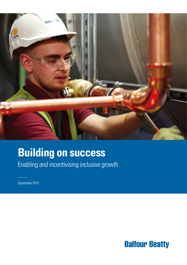

# **Building on success**

Enabling and incentivising inclusive growth

September 2018

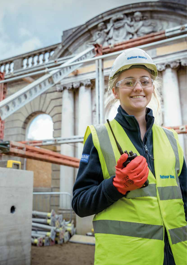**Ballour Beatty** ARM **Balfour Beat**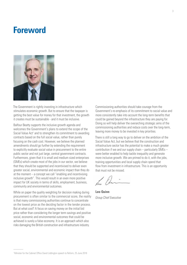#### **Foreword**



The Government is rightly investing in infrastructure which stimulates economic growth. But to ensure that the taxpayer is getting the best value for money for that investment, the growth it creates must be sustainable - and it must be inclusive.

Balfour Beatty supports the inclusive growth agenda and welcomes the Government's plans to extend the scope of the Social Value Act<sup>1</sup> and to strengthen its commitment to awarding contracts based on the full social value, rather than purely focusing on the cash cost. However, we believe the planned amendments should go further by extending the requirement to explicitly evaluate social value in procurement to the entire public sector and not just large, central government contracts. Furthermore, given that it is small and medium sized enterprises (SMEs) which create most of the jobs in our sector, we believe that they should be supported and incentivised to deliver even greater social, environmental and economic impact than they do at the moment – a concept we call "enabling and incentivising inclusive growth". This would result in an even more positive impact for UK society in terms of skills, employment, business, community and environmental outcomes.

While on paper the quality weighting for decision making during procurement is often similar to the commercial score, the reality is that many commissioning authorities continue to concentrate on the lowest price as the deciding factor in the tender process. But at what cost? A focus on saving money on the initial bid price rather than considering the longer term savings and positive social, economic and environmental outcomes that could be achieved is surely a false economy. It is an approach which also risks damaging the British construction and infrastructure industry.

Commissioning authorities should take courage from the Government's re-emphasis of its commitment to social value and more consistently take into account the long-term benefits that could be gained beyond the infrastructure they are paying for. Doing so will help deliver the overarching strategic aims of the commissioning authorities and reduce costs over the long-term, leaving more money to be invested in key priorities.

There is still a long way to go to deliver on the ambition of the Social Value Act, but we believe that the construction and infrastructure sector has the potential to make a much greater contribution if we and our supply chain – particularly SMEs – were better enabled to help tackle inequality and generate more inclusive growth. We are primed to do it, with the jobs, training opportunities and local supply chain spend that flow from investment in infrastructure. This is an opportunity that must not be missed.

**Leo Quinn** *Group Chief Executive*

<sup>&</sup>lt;sup>1</sup> Minister for the Cabinet Office David Liddington speech to Reform, 25 June 2018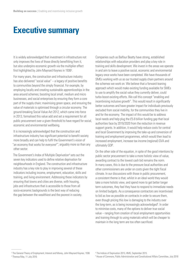#### **Executive summary**

It is widely acknowledged that investment in infrastructure not only improves the lives of those directly benefitting from it, but also underpins economic growth via the multiplier effect first highlighted by John Maynard Keynes in 1936<sup>2</sup>.

For many years, the construction and infrastructure industry has also delivered "social value" – a legacy of positive benefits to communities beyond the simply financial. For example, by employing locally and creating sustainable apprenticeships in the area around schemes; boosting local small, medium and micro businesses, and social enterprises by ensuring they form a core part of the supply chain; maximising green space, and ensuring the value of materials is optimised through a circular economy. The ground-breaking Social Value Act 2012, which came into force in 2013, formalised this value add and set a requirement for all public procurement over a given threshold to have regard for social, economic and environmental wellbeing.

It is increasingly acknowledged that the construction and infrastructure industry has significant potential to benefit society more broadly and can help to fulfil the Government's vision of "an economy that works for everyone<sup>3"</sup>; arguably more so than any other sector.

The Government's Index of Multiple Deprivation<sup>4</sup> sets out the seven key indicators used to define relative deprivation for neighbourhoods in England. The construction and infrastructure industry has a key role to play in improving several of these indicators including income, employment, education, skills and training, and living environment. Addressing these indicators by ensuring that towns and cities are diverse, with housing, jobs and infrastructure that is accessible to those from all socio-economic backgrounds is the best way of reducing the gap between the wealthiest and the poorest in society.

Companies such as Balfour Beatty have strong, established relationships with education providers and play a key role in training and skills development. We invest in the areas we operate in and aim to leave a positive social, economic and environmental legacy once works have been completed. We have thousands of SMEs working with us as our trusted supply chain partners around the schemes we work on. We believe that a forward-leaning approach which would make existing funding available for SMEs to use to amplify the social value they currently deliver, could turbo-boost existing efforts. We call this concept "enabling and incentivising inclusive growth". This would result in significantly better outcomes and have greater impact for individuals previously excluded from social mobility, for the communities they live in and for the economy. The impact of this would be to address local needs and help plug the £5.8 billion funding gap that local authorities face by 2019/2020 from the reduction in revenue support grants. In addition, it would help reduce costs for central and local Government by improving the take-up and conversion of training and employment programmes, which would then lead to increased employment, increase tax income (regional) GVA and ultimately GDP.

On the other side of the equation, in spite of the good intentions by public sector procurement to take a more holistic view of value, awarding contract to the lowest cash bid remains the norm. In many cases, this is due to the pressure local authorities and other commissioners are under on costs given the tight fiscal climate. In our discussions with those in public procurement, a consistent theme is that, whilst in an ideal world they would take a more holistic view, and spend more to get better longer term outcomes, they feel they have to respond to immediate needs on limited budgets. As a consequence contractors are incentivised to bid as low as possible on contracts in order to secure them, even though pricing this low is damaging to the industry over the long-term, as is being increasingly acknowledged<sup>5</sup>. In order to minimise costs, many of the options to deliver true social value – ranging from creation of local employment opportunities and training through to using materials which will be cheaper to maintain in the long term are too often sacrificed.

<sup>2</sup> The General Theory of Employment, Interest and Money, John Maynard Keynes, 1936 3 Theresa May, 11 July 2016

<sup>4</sup> The Indices of Deprivation 2015, HMG, September 2015

<sup>&</sup>lt;sup>5</sup> House of Commons, Public Administration and Constitutional Affairs Committee, July 2018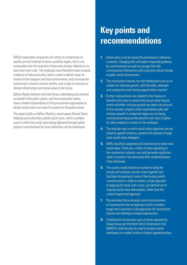Whilst responsible companies will refuse to compromise on quality and will attempt to leave a positive legacy, this is not sustainable over the long-term if procurers primary objective is to save short term cash. The emphasis must therefore move towards a balance of value and price, both in order to deliver value for money for the taxpayer and local communities, and to ensure the construction industry remains healthy, and is able to continue to deliver infrastructure and social value in the future.

Balfour Beatty believes that both those undertaking procurement on behalf of the public sector, and the construction sector, have a shared responsibility to find procurement approaches to deliver social value and value for money for the public pound.

This paper builds on Balfour Beatty's recent paper Shared Value: Helping local authorities unlock social value, which considers ways in which the social value being delivered through public projects commissioned by local authorities can be maximised.

#### **Key points and recommendations**

- **1.** Social value is not yet given the prominence it deserves in tenders. Changing this will require improved guidance for commissioners as well as courage from the commissioners themselves and a genuine culture change in public sector procurement.
- **2.** The construction industry has the framework to act as an enabler for inclusive growth, with the skills, networks and employment and training opportunities required.
- **3.** Further improvements are needed to the Treasury's benefits cost ratios to ensure that social value impacts which will effect inclusive growth are taken into account. At the moment, projects which could deliver jobs and inclusive growth in a deprived region are not being commissioned because the benefits cost ratio is higher for other projects in London or the southeast.
- **4.** The staccato way in which social value objectives are set, linked to specific schemes, prevents the delivery of large scale social value strategies.
- **5.** SMEs should be supported and incentivised to drive more social value. There are a million of them operating in the construction industry: we could generate significant value to society if we harnessed their combined power more effectively.
- **6.** The current model should be evolved to bring the private and voluntary sectors closer together and facilitate the pooling of some of the funding which currently exists in order to create a single approach to applying for funds with a clear, pre-defined set of required social value deliverables, rather than the current fragmented approach.
- **7.** The persistent focus amongst some commissioners on lowest-price over an approach which considers longer-term outcomes is damaging the UK construction industry and leading to missed opportunities.
- **8.** Collaborative frameworks such as those operated by Scape Group and the North West Construction Hub (NWCH), could feasibly be used to enable shared employees in a model similar to shared apprenticeships.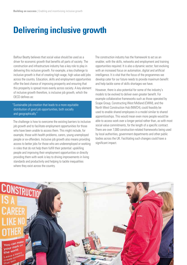#### **Delivering inclusive growth**

Balfour Beatty believes that social value should be used as a driver for economic growth that benefits all parts of society. The construction and infrastructure industry has a key role to play in delivering this inclusive growth. For example, a key challenge to inclusive growth is that of creating high wage, high value-add jobs across the country. Education, skills and employment opportunities offer the best chance of improving prosperity and ensuring that this prosperity is spread more evenly across society. A key element of inclusive growth therefore, is inclusive job growth, which the OECD defines as:

"Sustainable job creation that leads to a more equitable distribution of good job opportunities, both socially and geographically."

The challenge is how to overcome the existing barriers to inclusive job growth and to facilitate employment opportunities for those who have been unable to access them. This might include, for example, those with health problems, carers, young unemployed people or ex-offenders. Inclusive job growth also means providing access to better jobs for those who are underemployed or working in roles that do not help them fulfill their potential: upskilling people and improving their employment opportunities or directly providing them with work is key to driving improvements in living standards and productivity and helping to tackle inequalities where they exist across the country.

The construction industry has the framework to act as an enabler, with the skills, networks and employment and training opportunities required. It is also a dynamic sector; fast evolving with an increased focus on automation, digital and artificial intelligence. It is vital that the focus of the programmes we develop cater for our future needs to provide maximum benefit and help tackle some of skills shortages we have.

However, there is also potential for some of the industry's models to be evolved to deliver even greater benefit. For example collaborative frameworks such as those operated by Scape Group, Constructing West Midland (CWM), and the North West Construction Hub (NWCH), could feasibly be used to enable shared employees in a model similar to shared apprenticeships. This would mean even more people would be able to access work over a longer period rather than, as with most social value commitments, for the length of a specific contract. There are over 7,000 construction-related frameworks being used by local authorities, government departments and other public bodies across the UK. Facilitating such changes could have a significant impact.

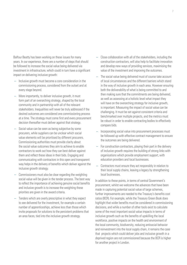Balfour Beatty has been working on these issues for many years. In our experience, there are a number of steps that should be followed to increase the social value being delivered via investment in infrastructure, which could in turn have a significant impact on delivering inclusive growth:

- Inclusive growth must become a core consideration in the commissioning process, considered from the outset and at every stage beyond.
- More importantly, to deliver inclusive growth, it must form part of an overarching strategy, shaped by the local community and in partnership with all of the relevant stakeholders. Inequalities will never be truly addressed if the desired outcomes are considered one commissioning process at a time. The strategy must come first and every procurement decision thereafter must deliver against that strategy.
- Social value can be seen as being subjective by some procurers, while suppliers can be unclear which social value elements will be prioritised by different procurers. Commissioning authorities must provide clarity about the social value outcomes they aim to achieve to enable contractors to work out how they can best deliver against them and reflect these ideas in their bids. Engaging and communicating with contractors in this open and transparent way helps in the delivery of benefits which deliver against the inclusive growth strategy.
- Commissioners must also be clear regarding the weighting social value will be given in the tender process. The best way to reflect the importance of achieving genuine social benefits and inclusive growth is to increase the weighting these priorities are given in the award criteria.
- Tenders which are overly prescriptive in what they expect to see delivered for the investment, for example a certain number of apprenticeships, achieve less than those which invite proposals for solutions to the persistent problems that an area faces, tied into the inclusive growth strategy.
- Close collaboration with all of the stakeholders, including the construction contractors, will also help to facilitate innovation and develop new ways of providing services, maximising the value of the investment and improving the outcomes.
- The social value being delivered must of course take account of local circumstances and the different barriers which stand in the way of inclusive growth in each area. However ensuring both the deliverability of what is being committed to and then making sure that the commitments are being delivered, as well as assessing at a holistic level what impact they will have on the overarching strategy for inclusive growth, is important. Measuring the impact of social value can be challenging. It must be set against consistent criteria and benchmarked over multiple projects, and the metrics must be robust in order to enable contracting bodies to effectively compare bids.
- Incorporating social value into procurement processes must be followed up with effective contract management to ensure the outcomes are being delivered.
- For construction contractors, playing their part in the delivery of inclusive growth requires the building of strong links with organisations which provide employment support, with education providers and local businesses.
- Contractors must ensure they act responsibly in relation to their local supply chains, leaving a legacy by strengthening local businesses.

In addition to these points, in terms of central Government's procurement, whilst we welcome the advances that have been made in capturing potential social value of large schemes, further improvements are needed to the Treasury's benefits cost ratios (BCR). For example, while the Treasury Green Book does highlight that wider benefits must be considered in commissioning decisions, and while a number of other tools exist to calculate some of the most important social value impacts in terms of inclusive growth such as the benefits of upskilling the local workforce, positive impacts on the health and environment of the local community, biodiversity, reducing antisocial behavior and reinvestment into the local supply chain, it remains the case that projects which could deliver jobs and inclusive growth in a deprived region are not commissioned because the BCR is higher for another project in London.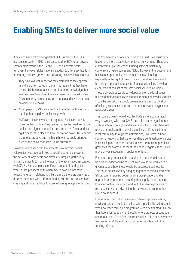## **Enabling SMEs to deliver more social value**

It has long been acknowledged that SMEs underpin the UK's economic growth. In 2017, they accounted for 60% of all private sector employment in the UK and 51% of all private sector turnover6 . However SMEs have a great deal to offer specifically in promoting inclusive growth and delivering social value outcomes:

- They have a direct impact on the communities they operate in and are often rooted in them. This means that they have the established relationships and first-hand knowledge that enables them to address the area's needs and social issues. Of course, they also employ local people and have their own onward supply chains.
- As employers, SMEs are also direct providers of the jobs and training that help drive inclusive growth.
- SMEs are also innovative and agile. As SMEs are usually closer to the frontline, they can recognise the need to change earlier than bigger companies, and often have fewer and less rigid processes in place to slow innovation down. This enables them to be creative and nimble in how they apply priorities such as the delivery of social value outcomes.

However, we believe that the staccato way in which social value objectives are set, linked to specific schemes, prevents the delivery of large scale social value strategies, particularly limiting the ability to make the most of the advantages associated with SMEs. For example, a significant amount of funding sits with service providers, with whom SMEs have no incentive to build long-term relationships. Furthermore there are a myriad of different schemes with different funding criteria and deliverables creating additional red tape to anyone looking to apply for funding. This fragmented approach must be addressed – we must think bigger, and more creatively, in order to deliver more. There are currently multiple sources of funding some of which may come from private sources and NGOs. However, the Government has a clear opportunity to streamline its own funding, especially in the light of Brexit. Ideally, therefore, there should be a single approach to apply for funds at a local level, with a clear, pre-defined set of required social value deliverables. These deliverables would vary depending on the local needs, but the definitions and evidence requirements of any deliverables would be pre-set. This would prevent overlap and duplication of existing schemes and ensure that the intervention types are tried and tested.

This local approach would also facilitate a more coordinated way of working with local SMEs and third sector organisations, such as schools, colleges and universities. It would furthermore provide mutual benefit; as well as making a difference in the local community through the deliverables, SMEs would have comfort of knowing, that there would be a continuation of service in accessing ex-offenders, school leavers, trainees, apprentices, graduates for example, to meet their needs, regardless of which provider was successful in applying for funds.

For these programmes to be sustainable there would need to be a clear understanding of what skills would be required in a given area and how these would be best resourced locally. This could be achieved by bringing together principal contractors, SMEs, commissioning bodies and service providers to align appropriate programmes, ensuring that supply meets demand. Principal contractors would work with the service providers to run supplier events, advertising the services and support that SMEs could access.

Furthermore, much like the model of shared apprenticeships, service providers should be tasked with specifically taking people who have been through a programme with a designated SME on their books for redeployment locally where projects or contracts come to an end. Apart from apprenticeships, this could be widened to cover other skills and training schemes and built into the funding criteria.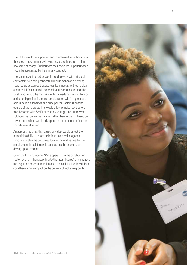The SMEs would be supported and incentivised to participate in these local programmes by having access to these local talent pools free of charge. Furthermore their social value performance would be scrutinised by the primary contractor.

The commissioning bodies would need to work with principal contractors by placing contractual requirements on delivering social value outcomes that address local needs. Without a clear commercial focus there is no principal driver to ensure that the local needs would be met. While this already happens in London and other big cities, increased collaboration within regions and across multiple schemes and principal contractors is needed outside of these areas. This would allow principal contractors to collaborate with SMEs at an early to stage and put forward solutions that deliver best value, rather than tendering based on lowest cost, which would drive principal contractors to focus on short-term cost savings.

An approach such as this, based on value, would unlock the potential to deliver a more ambitious social value agenda, which generates the outcomes local communities need while simultaneously tackling skills gaps across the economy and driving up tax receipts.

Given the huge number of SMEs operating in the construction sector, over a million according to the latest figures<sup>7</sup>, any initiative making it easier for them to increase the social value they deliver could have a huge impact on the delivery of inclusive growth.

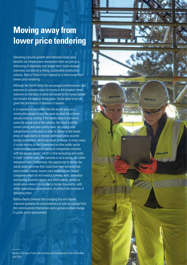## **Moving away from lower price tendering**

Delivering inclusive growth and improved social value benefits via infrastructure investment relies not just on a refocusing of objectives onto longer-term, more strategic outcomes, but also on a strong, sustainable construction industry. Both of these in turn depend on a move away from lowest price tendering.

Although the Social Value Act encourages commissioners and procurers to consider value for money in the broadest sense, selection on the basis of price and award to the lowest priced bid remains the norm in many cases. Social value is not yet given the prominence it deserves in tenders.

It is important to remember that the tender price on a construction project is not the same as what the scheme actually ends up costing. If the tender price is too low to cover the actual cost of the scheme, the result is either corner-cutting and poor quality work, not paying local subcontractors a fair price in order to deliver at the tender price, or legal claims to recover additional costs incurred during construction, which can result in delays. In many cases, it is also leading to the Government or other public sector commissioners repeatedly having to renegotiate contracts with the private sector<sup>8</sup>, which is time consuming and costly in itself. In either case, the outcome is not a saving, but rather increased costs. Furthermore, the opportunity to deliver the social value outcomes that could have been achieved has been missed. Indeed, lowest price tendering can reward companies which do not invest in training, skills, innovation and leaving a positive legacy and which pay lip service to social value where it is included in tender documents, with either unambitious commitments, or without the intention of delivering them.

Balfour Beatty believes that changing this will require improved guidance for commissioners as well as courage from the commissioners themselves and a genuine culture change in public sector procurement.

<sup>8</sup> House of Commons, Public Administration and Constitutional Affairs Committee, July 2018

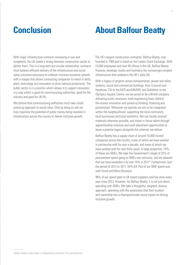#### **Conclusion About Balfour Beatty**

With major infrastructure contracts increasing in size and complexity, the UK needs a strong domestic construction sector to deliver them. This is a long-term but circular relationship: contracts must balance efficient delivery of the infrastructure and social value outcomes necessary to underpin inclusive economic growth, with a margin that allows contracting companies to invest in skills, plant, technology and innovation to drive national productivity. The public sector is in a position which allows it to support innovation in a way which is good for commissioning authorities, good for the industry and good for UK Plc.

We believe that commissioning authorities must take a bold, joined-up approach to social value. Only by doing so will we truly maximise the potential of public money being invested in infrastructure across the country to deliver inclusive growth.

The UK's largest construction contractor, Balfour Beatty, was founded in 1909 and is listed on the London Stock Exchange. With 15,000 employees and over 40 offices in the UK, Balfour Beatty finances, develops, builds and maintains the increasingly complex infrastructure that underpins the UK's daily life.

With a legacy of projects across transportation, power and utility systems, social and commercial buildings: from Crossrail and Heathrow T2b to the M25 and M4/M5; and Sellafield; to the Olympics Aquatic Centre, we are proud to be a British company delivering iconic structures, bold engineering feats, behindthe-scenes innovation and joined-up thinking, financing and partnerships. Wherever we operate we aim to be integrated within the neighbourhood, supporting the local community, local businesses and local workforce. We use locally sourced materials wherever possible, and invest in future talent through apprenticeship schemes and work placement opportunities to leave a positive legacy alongside the schemes we deliver.

Balfour Beatty has a supply chain of around 10,000 trusted companies across the country, many of which we have worked in partnership with for over a decade, and some of which we have worked with for over thirty years. A large proportion, 74%, of these are SMEs. We take the Government's target of 33% of procurement spend going to SMEs very seriously, and are pleased that we have exceeded it by over 10% in 2017<sup>9</sup>. Furthermore, over the period of 2013 to 2017, 64% (£4.7bn) of our SME spend was with Small and Micro Business.

98% of our spend goes to UK based suppliers and has done every year since 2013. However, for Balfour Beatty, it is not just about spending with SMEs. We take a thoughtful, targeted, diverse approach, operating with the awareness that their location and ownership has a disproportionate social impact on driving inclusive growth.

<sup>&</sup>lt;sup>9</sup> Balfour Beatty's spend data is independently verified by Dun and Bradstreet